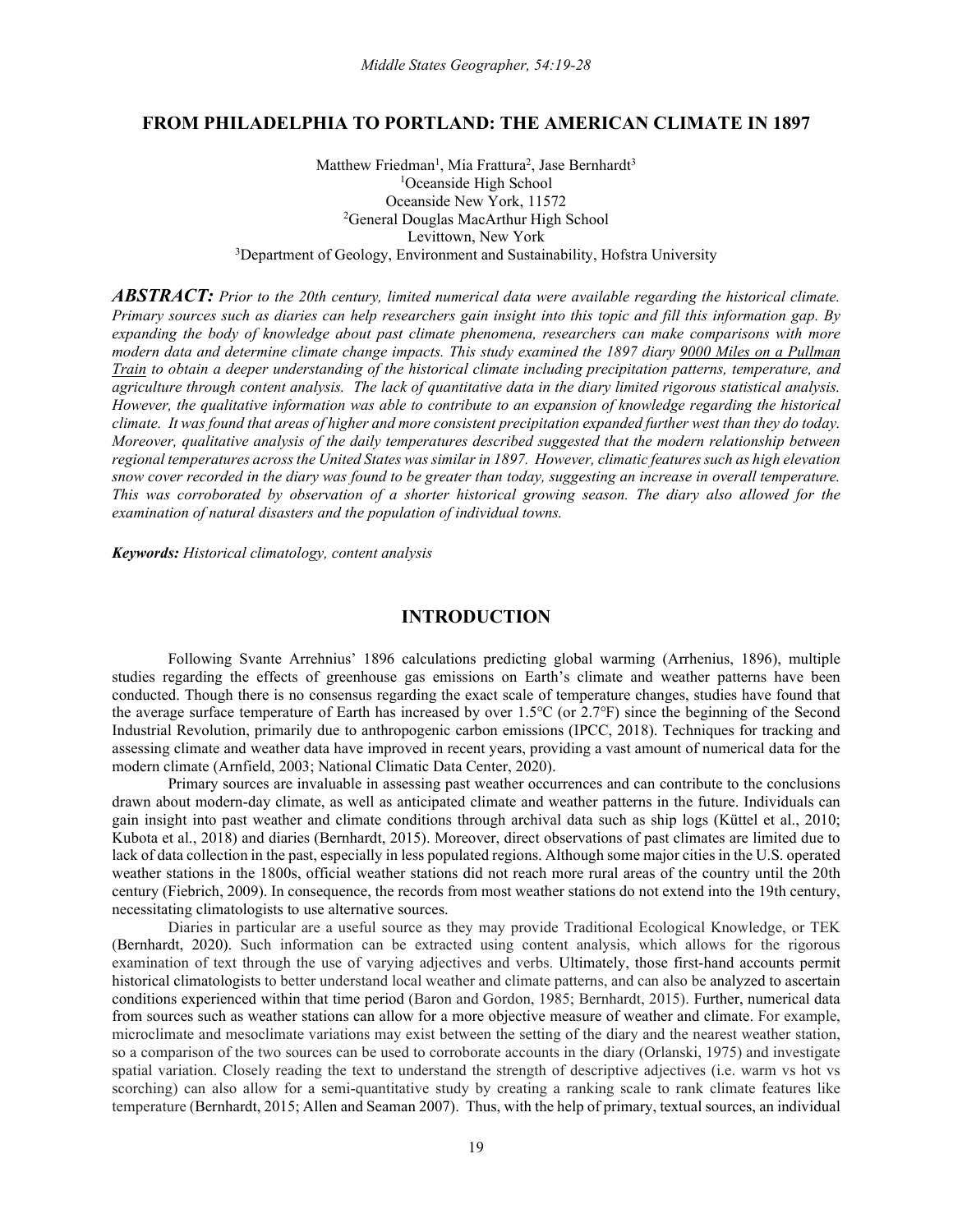# **FROM PHILADELPHIA TO PORTLAND: THE AMERICAN CLIMATE IN 1897**

Matthew Friedman<sup>1</sup>, Mia Frattura<sup>2</sup>, Jase Bernhardt<sup>3</sup> <sup>1</sup>Oceanside High School Oceanside New York, 11572 <sup>2</sup>General Douglas MacArthur High School Levittown, New York <sup>3</sup>Department of Geology, Environment and Sustainability, Hofstra University

*ABSTRACT: Prior to the 20th century, limited numerical data were available regarding the historical climate. Primary sources such as diaries can help researchers gain insight into this topic and fill this information gap. By expanding the body of knowledge about past climate phenomena, researchers can make comparisons with more modern data and determine climate change impacts. This study examined the 1897 diary 9000 Miles on a Pullman Train to obtain a deeper understanding of the historical climate including precipitation patterns, temperature, and agriculture through content analysis. The lack of quantitative data in the diary limited rigorous statistical analysis. However, the qualitative information was able to contribute to an expansion of knowledge regarding the historical climate. It was found that areas of higher and more consistent precipitation expanded further west than they do today. Moreover, qualitative analysis of the daily temperatures described suggested that the modern relationship between regional temperatures across the United States was similar in 1897. However, climatic features such as high elevation snow cover recorded in the diary was found to be greater than today, suggesting an increase in overall temperature. This was corroborated by observation of a shorter historical growing season. The diary also allowed for the examination of natural disasters and the population of individual towns.* 

*Keywords: Historical climatology, content analysis*

## **INTRODUCTION**

Following Svante Arrehnius' 1896 calculations predicting global warming (Arrhenius, 1896), multiple studies regarding the effects of greenhouse gas emissions on Earth's climate and weather patterns have been conducted. Though there is no consensus regarding the exact scale of temperature changes, studies have found that the average surface temperature of Earth has increased by over 1.5℃ (or 2.7℉) since the beginning of the Second Industrial Revolution, primarily due to anthropogenic carbon emissions (IPCC, 2018). Techniques for tracking and assessing climate and weather data have improved in recent years, providing a vast amount of numerical data for the modern climate (Arnfield, 2003; National Climatic Data Center, 2020).

Primary sources are invaluable in assessing past weather occurrences and can contribute to the conclusions drawn about modern-day climate, as well as anticipated climate and weather patterns in the future. Individuals can gain insight into past weather and climate conditions through archival data such as ship logs (Küttel et al., 2010; Kubota et al., 2018) and diaries (Bernhardt, 2015). Moreover, direct observations of past climates are limited due to lack of data collection in the past, especially in less populated regions. Although some major cities in the U.S. operated weather stations in the 1800s, official weather stations did not reach more rural areas of the country until the 20th century (Fiebrich, 2009). In consequence, the records from most weather stations do not extend into the 19th century, necessitating climatologists to use alternative sources.

Diaries in particular are a useful source as they may provide Traditional Ecological Knowledge, or TEK (Bernhardt, 2020). Such information can be extracted using content analysis, which allows for the rigorous examination of text through the use of varying adjectives and verbs. Ultimately, those first-hand accounts permit historical climatologists to better understand local weather and climate patterns, and can also be analyzed to ascertain conditions experienced within that time period (Baron and Gordon, 1985; Bernhardt, 2015). Further, numerical data from sources such as weather stations can allow for a more objective measure of weather and climate. For example, microclimate and mesoclimate variations may exist between the setting of the diary and the nearest weather station, so a comparison of the two sources can be used to corroborate accounts in the diary (Orlanski, 1975) and investigate spatial variation. Closely reading the text to understand the strength of descriptive adjectives (i.e. warm vs hot vs scorching) can also allow for a semi-quantitative study by creating a ranking scale to rank climate features like temperature (Bernhardt, 2015; Allen and Seaman 2007). Thus, with the help of primary, textual sources, an individual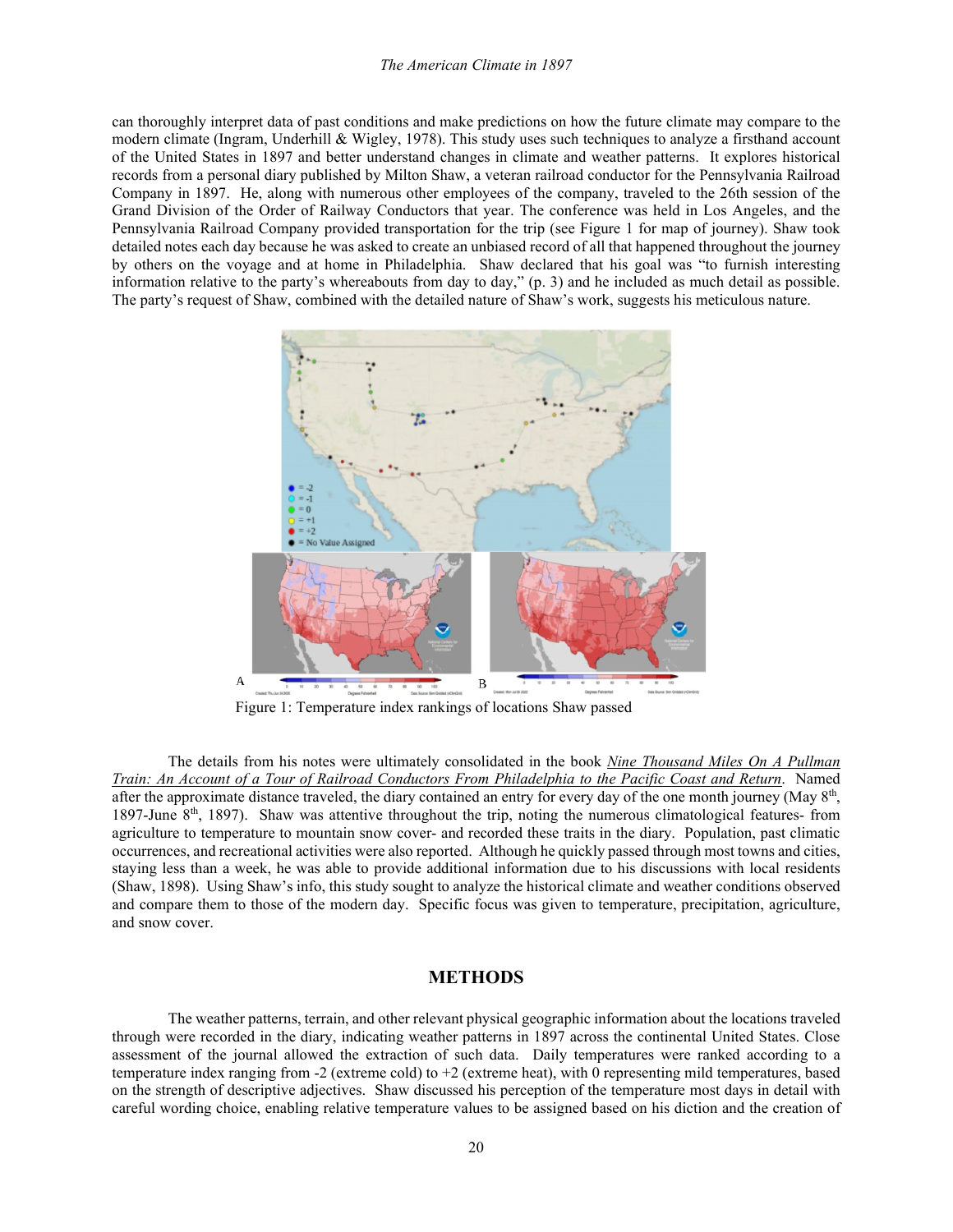#### *The American Climate in 1897*

can thoroughly interpret data of past conditions and make predictions on how the future climate may compare to the modern climate (Ingram, Underhill & Wigley, 1978). This study uses such techniques to analyze a firsthand account of the United States in 1897 and better understand changes in climate and weather patterns. It explores historical records from a personal diary published by Milton Shaw, a veteran railroad conductor for the Pennsylvania Railroad Company in 1897. He, along with numerous other employees of the company, traveled to the 26th session of the Grand Division of the Order of Railway Conductors that year. The conference was held in Los Angeles, and the Pennsylvania Railroad Company provided transportation for the trip (see Figure 1 for map of journey). Shaw took detailed notes each day because he was asked to create an unbiased record of all that happened throughout the journey by others on the voyage and at home in Philadelphia. Shaw declared that his goal was "to furnish interesting information relative to the party's whereabouts from day to day," (p. 3) and he included as much detail as possible. The party's request of Shaw, combined with the detailed nature of Shaw's work, suggests his meticulous nature.



Figure 1: Temperature index rankings of locations Shaw passed

The details from his notes were ultimately consolidated in the book *Nine Thousand Miles On A Pullman Train: An Account of a Tour of Railroad Conductors From Philadelphia to the Pacific Coast and Return*. Named after the approximate distance traveled, the diary contained an entry for every day of the one month journey (May  $8<sup>th</sup>$ , 1897-June 8th, 1897). Shaw was attentive throughout the trip, noting the numerous climatological features- from agriculture to temperature to mountain snow cover- and recorded these traits in the diary. Population, past climatic occurrences, and recreational activities were also reported. Although he quickly passed through most towns and cities, staying less than a week, he was able to provide additional information due to his discussions with local residents (Shaw, 1898). Using Shaw's info, this study sought to analyze the historical climate and weather conditions observed and compare them to those of the modern day. Specific focus was given to temperature, precipitation, agriculture, and snow cover.

# **METHODS**

The weather patterns, terrain, and other relevant physical geographic information about the locations traveled through were recorded in the diary, indicating weather patterns in 1897 across the continental United States. Close assessment of the journal allowed the extraction of such data. Daily temperatures were ranked according to a temperature index ranging from -2 (extreme cold) to +2 (extreme heat), with 0 representing mild temperatures, based on the strength of descriptive adjectives. Shaw discussed his perception of the temperature most days in detail with careful wording choice, enabling relative temperature values to be assigned based on his diction and the creation of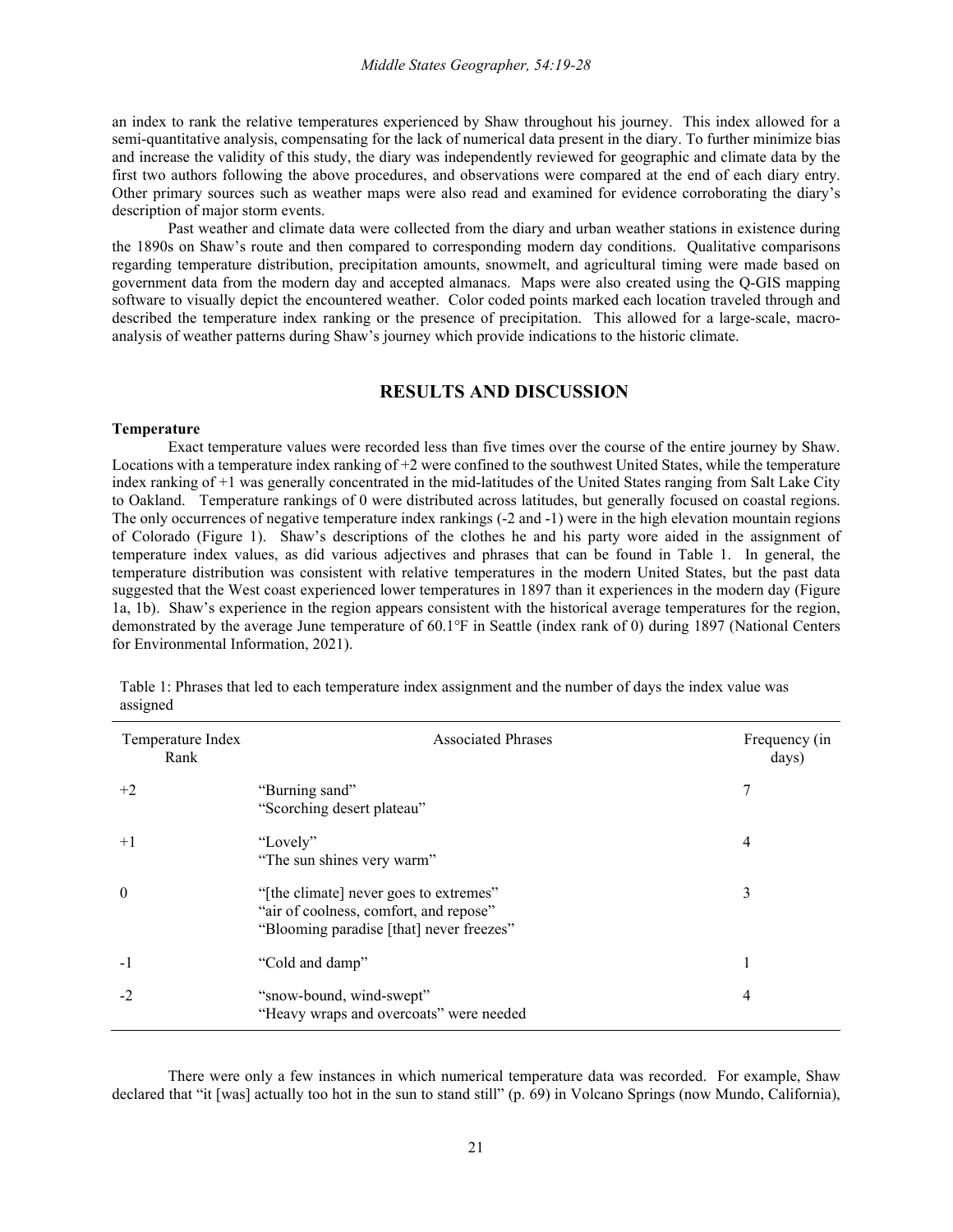an index to rank the relative temperatures experienced by Shaw throughout his journey. This index allowed for a semi-quantitative analysis, compensating for the lack of numerical data present in the diary. To further minimize bias and increase the validity of this study, the diary was independently reviewed for geographic and climate data by the first two authors following the above procedures, and observations were compared at the end of each diary entry. Other primary sources such as weather maps were also read and examined for evidence corroborating the diary's description of major storm events.

Past weather and climate data were collected from the diary and urban weather stations in existence during the 1890s on Shaw's route and then compared to corresponding modern day conditions. Qualitative comparisons regarding temperature distribution, precipitation amounts, snowmelt, and agricultural timing were made based on government data from the modern day and accepted almanacs. Maps were also created using the Q-GIS mapping software to visually depict the encountered weather. Color coded points marked each location traveled through and described the temperature index ranking or the presence of precipitation. This allowed for a large-scale, macroanalysis of weather patterns during Shaw's journey which provide indications to the historic climate.

## **RESULTS AND DISCUSSION**

#### **Temperature**

Exact temperature values were recorded less than five times over the course of the entire journey by Shaw. Locations with a temperature index ranking of +2 were confined to the southwest United States, while the temperature index ranking of +1 was generally concentrated in the mid-latitudes of the United States ranging from Salt Lake City to Oakland. Temperature rankings of 0 were distributed across latitudes, but generally focused on coastal regions. The only occurrences of negative temperature index rankings (-2 and -1) were in the high elevation mountain regions of Colorado (Figure 1). Shaw's descriptions of the clothes he and his party wore aided in the assignment of temperature index values, as did various adjectives and phrases that can be found in Table 1. In general, the temperature distribution was consistent with relative temperatures in the modern United States, but the past data suggested that the West coast experienced lower temperatures in 1897 than it experiences in the modern day (Figure 1a, 1b). Shaw's experience in the region appears consistent with the historical average temperatures for the region, demonstrated by the average June temperature of 60.1 <sup>o</sup>F in Seattle (index rank of 0) during 1897 (National Centers for Environmental Information, 2021).

| Temperature Index<br>Rank | <b>Associated Phrases</b>                                                                                                    | Frequency (in<br>days) |
|---------------------------|------------------------------------------------------------------------------------------------------------------------------|------------------------|
| $+2$                      | "Burning sand"<br>"Scorching desert plateau"                                                                                 |                        |
| $+1$                      | "Lovely"<br>"The sun shines very warm"                                                                                       | 4                      |
| $\boldsymbol{0}$          | "[the climate] never goes to extremes"<br>"air of coolness, comfort, and repose"<br>"Blooming paradise [that] never freezes" | 3                      |
| $-1$                      | "Cold and damp"                                                                                                              |                        |
| $-2$                      | "snow-bound, wind-swept"<br>"Heavy wraps and overcoats" were needed                                                          | 4                      |

Table 1: Phrases that led to each temperature index assignment and the number of days the index value was assigned

There were only a few instances in which numerical temperature data was recorded. For example, Shaw declared that "it [was] actually too hot in the sun to stand still" (p. 69) in Volcano Springs (now Mundo, California),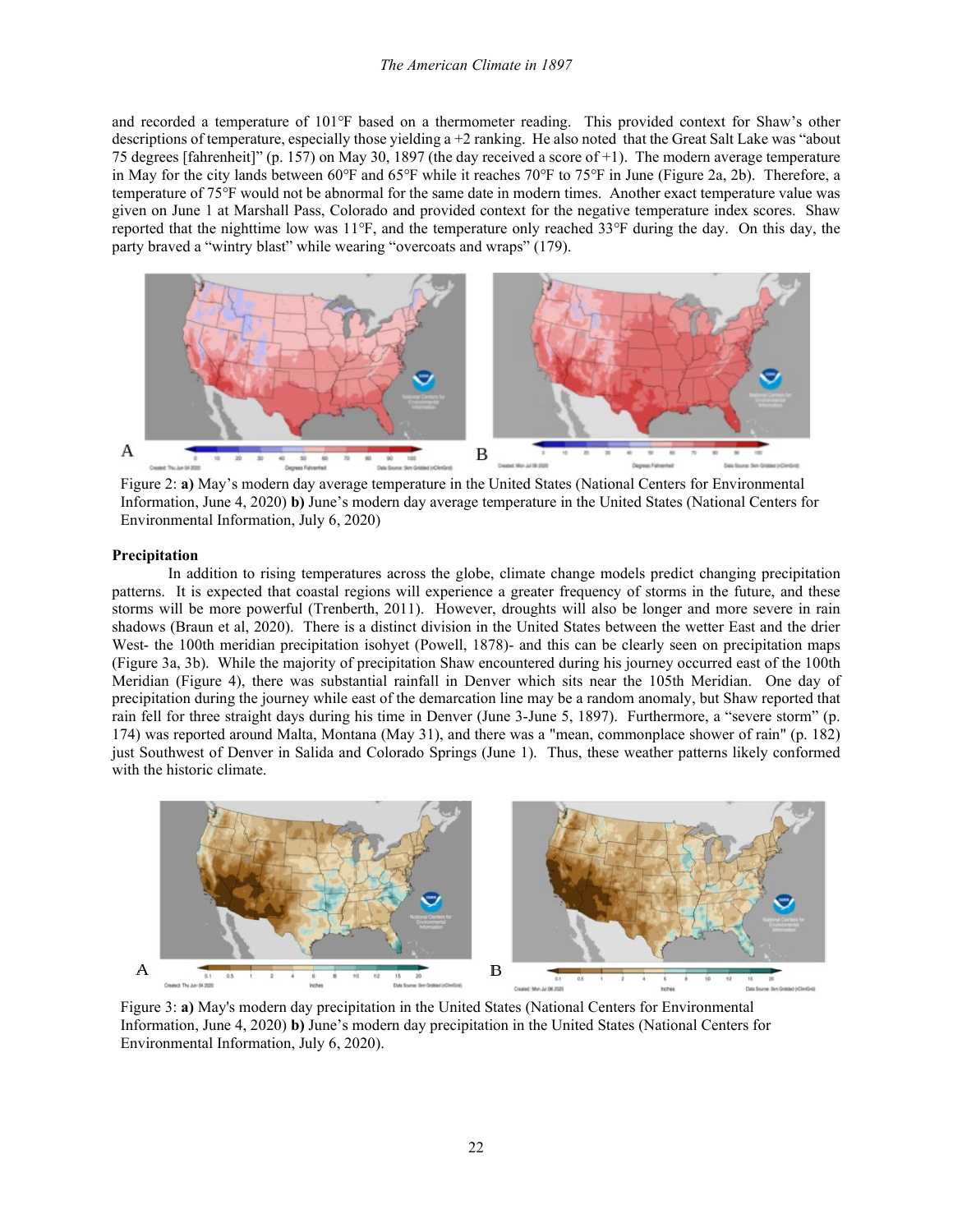#### *The American Climate in 1897*

and recorded a temperature of 101°F based on a thermometer reading. This provided context for Shaw's other descriptions of temperature, especially those yielding a  $+2$  ranking. He also noted that the Great Salt Lake was "about 75 degrees [fahrenheit]" (p. 157) on May 30, 1897 (the day received a score of +1). The modern average temperature in May for the city lands between 60℉ and 65℉ while it reaches 70℉ to 75℉ in June (Figure 2a, 2b). Therefore, a temperature of 75℉ would not be abnormal for the same date in modern times. Another exact temperature value was given on June 1 at Marshall Pass, Colorado and provided context for the negative temperature index scores. Shaw reported that the nighttime low was 11℉, and the temperature only reached 33℉ during the day. On this day, the party braved a "wintry blast" while wearing "overcoats and wraps" (179).



Figure 2: **a)** May's modern day average temperature in the United States (National Centers for Environmental Information, June 4, 2020) **b)** June's modern day average temperature in the United States (National Centers for Environmental Information, July 6, 2020)

#### **Precipitation**

In addition to rising temperatures across the globe, climate change models predict changing precipitation patterns. It is expected that coastal regions will experience a greater frequency of storms in the future, and these storms will be more powerful (Trenberth, 2011). However, droughts will also be longer and more severe in rain shadows (Braun et al, 2020). There is a distinct division in the United States between the wetter East and the drier West- the 100th meridian precipitation isohyet (Powell, 1878)- and this can be clearly seen on precipitation maps (Figure 3a, 3b). While the majority of precipitation Shaw encountered during his journey occurred east of the 100th Meridian (Figure 4), there was substantial rainfall in Denver which sits near the 105th Meridian. One day of precipitation during the journey while east of the demarcation line may be a random anomaly, but Shaw reported that rain fell for three straight days during his time in Denver (June 3-June 5, 1897). Furthermore, a "severe storm" (p. 174) was reported around Malta, Montana (May 31), and there was a "mean, commonplace shower of rain" (p. 182) just Southwest of Denver in Salida and Colorado Springs (June 1). Thus, these weather patterns likely conformed with the historic climate.



Figure 3: **a)** May's modern day precipitation in the United States (National Centers for Environmental Information, June 4, 2020) **b)** June's modern day precipitation in the United States (National Centers for Environmental Information, July 6, 2020).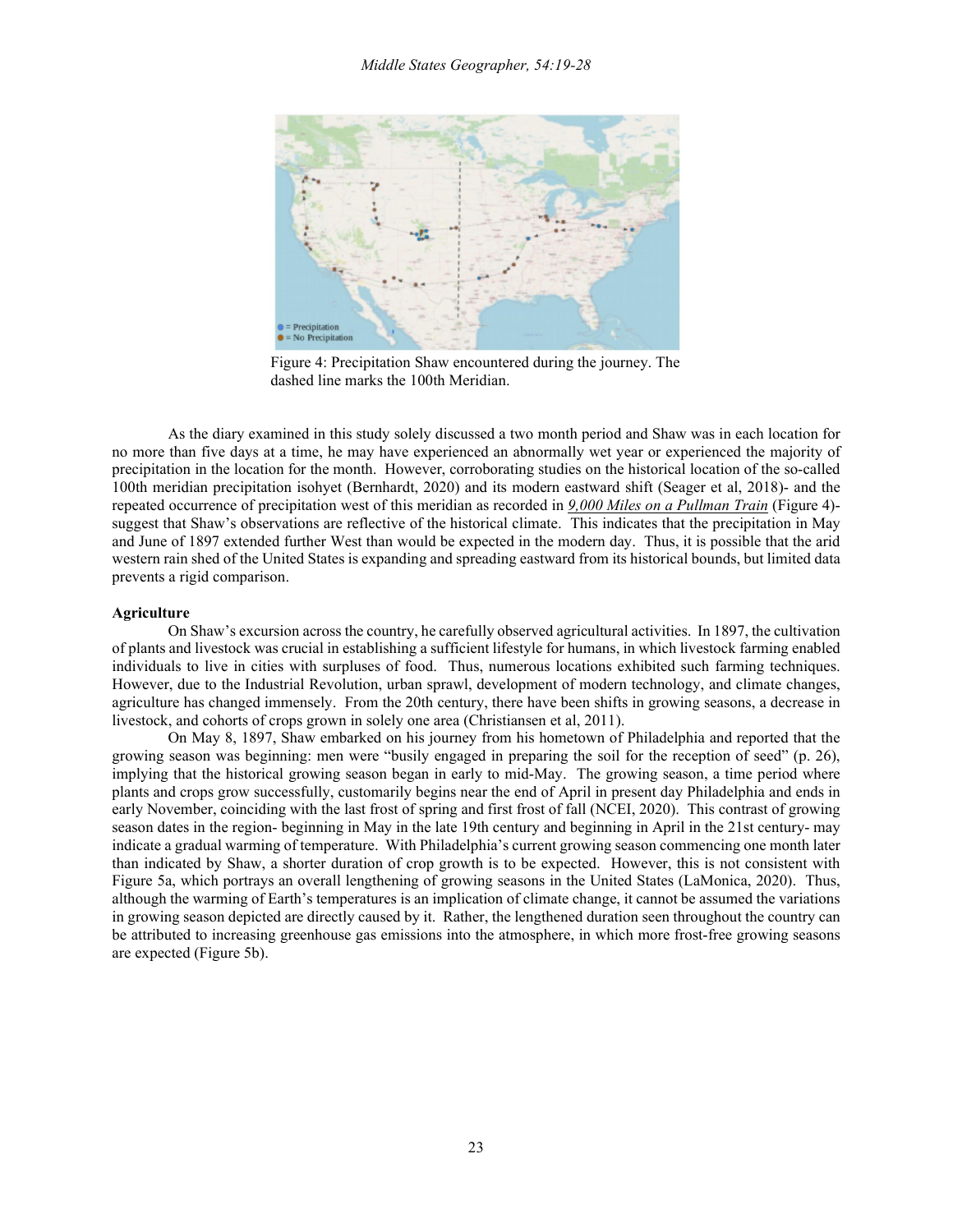

Figure 4: Precipitation Shaw encountered during the journey. The dashed line marks the 100th Meridian.

As the diary examined in this study solely discussed a two month period and Shaw was in each location for no more than five days at a time, he may have experienced an abnormally wet year or experienced the majority of precipitation in the location for the month. However, corroborating studies on the historical location of the so-called 100th meridian precipitation isohyet (Bernhardt, 2020) and its modern eastward shift (Seager et al, 2018)- and the repeated occurrence of precipitation west of this meridian as recorded in *9,000 Miles on a Pullman Train* (Figure 4) suggest that Shaw's observations are reflective of the historical climate. This indicates that the precipitation in May and June of 1897 extended further West than would be expected in the modern day. Thus, it is possible that the arid western rain shed of the United States is expanding and spreading eastward from its historical bounds, but limited data prevents a rigid comparison.

#### **Agriculture**

On Shaw's excursion across the country, he carefully observed agricultural activities. In 1897, the cultivation of plants and livestock was crucial in establishing a sufficient lifestyle for humans, in which livestock farming enabled individuals to live in cities with surpluses of food. Thus, numerous locations exhibited such farming techniques. However, due to the Industrial Revolution, urban sprawl, development of modern technology, and climate changes, agriculture has changed immensely. From the 20th century, there have been shifts in growing seasons, a decrease in livestock, and cohorts of crops grown in solely one area (Christiansen et al, 2011).

On May 8, 1897, Shaw embarked on his journey from his hometown of Philadelphia and reported that the growing season was beginning: men were "busily engaged in preparing the soil for the reception of seed" (p. 26), implying that the historical growing season began in early to mid-May. The growing season, a time period where plants and crops grow successfully, customarily begins near the end of April in present day Philadelphia and ends in early November, coinciding with the last frost of spring and first frost of fall (NCEI, 2020). This contrast of growing season dates in the region- beginning in May in the late 19th century and beginning in April in the 21st century- may indicate a gradual warming of temperature. With Philadelphia's current growing season commencing one month later than indicated by Shaw, a shorter duration of crop growth is to be expected. However, this is not consistent with Figure 5a, which portrays an overall lengthening of growing seasons in the United States (LaMonica, 2020). Thus, although the warming of Earth's temperatures is an implication of climate change, it cannot be assumed the variations in growing season depicted are directly caused by it. Rather, the lengthened duration seen throughout the country can be attributed to increasing greenhouse gas emissions into the atmosphere, in which more frost-free growing seasons are expected (Figure 5b).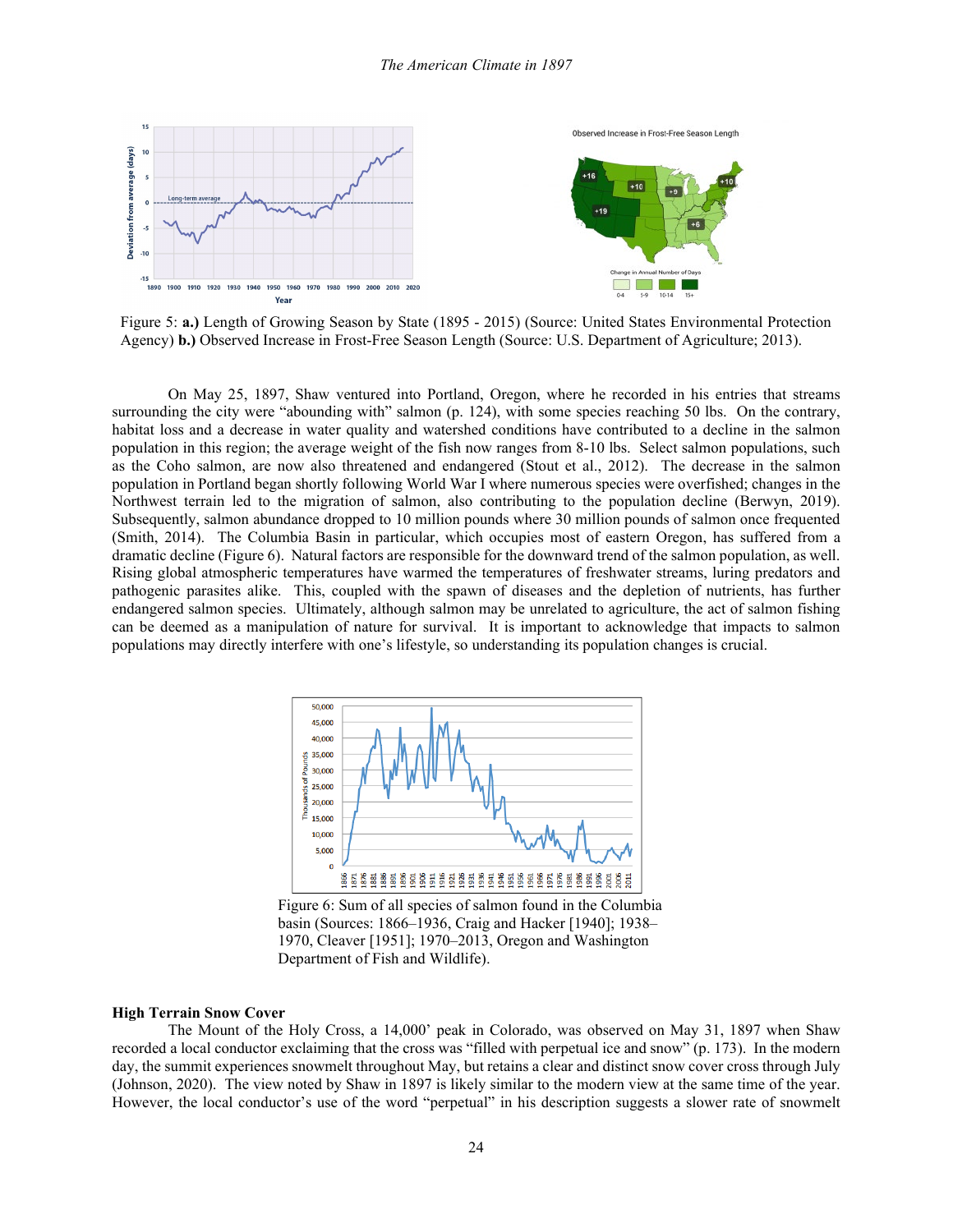

Figure 5: **a.)** Length of Growing Season by State (1895 - 2015) (Source: United States Environmental Protection Agency) **b.)** Observed Increase in Frost-Free Season Length (Source: U.S. Department of Agriculture; 2013).

On May 25, 1897, Shaw ventured into Portland, Oregon, where he recorded in his entries that streams surrounding the city were "abounding with" salmon (p. 124), with some species reaching 50 lbs. On the contrary, habitat loss and a decrease in water quality and watershed conditions have contributed to a decline in the salmon population in this region; the average weight of the fish now ranges from 8-10 lbs. Select salmon populations, such as the Coho salmon, are now also threatened and endangered (Stout et al., 2012). The decrease in the salmon population in Portland began shortly following World War I where numerous species were overfished; changes in the Northwest terrain led to the migration of salmon, also contributing to the population decline (Berwyn, 2019). Subsequently, salmon abundance dropped to 10 million pounds where 30 million pounds of salmon once frequented (Smith, 2014). The Columbia Basin in particular, which occupies most of eastern Oregon, has suffered from a dramatic decline (Figure 6). Natural factors are responsible for the downward trend of the salmon population, as well. Rising global atmospheric temperatures have warmed the temperatures of freshwater streams, luring predators and pathogenic parasites alike. This, coupled with the spawn of diseases and the depletion of nutrients, has further endangered salmon species. Ultimately, although salmon may be unrelated to agriculture, the act of salmon fishing can be deemed as a manipulation of nature for survival. It is important to acknowledge that impacts to salmon populations may directly interfere with one's lifestyle, so understanding its population changes is crucial.



Figure 6: Sum of all species of salmon found in the Columbia basin (Sources: 1866–1936, Craig and Hacker [1940]; 1938– 1970, Cleaver [1951]; 1970–2013, Oregon and Washington Department of Fish and Wildlife).

### **High Terrain Snow Cover**

The Mount of the Holy Cross, a 14,000' peak in Colorado, was observed on May 31, 1897 when Shaw recorded a local conductor exclaiming that the cross was "filled with perpetual ice and snow" (p. 173). In the modern day, the summit experiences snowmelt throughout May, but retains a clear and distinct snow cover cross through July (Johnson, 2020). The view noted by Shaw in 1897 is likely similar to the modern view at the same time of the year. However, the local conductor's use of the word "perpetual" in his description suggests a slower rate of snowmelt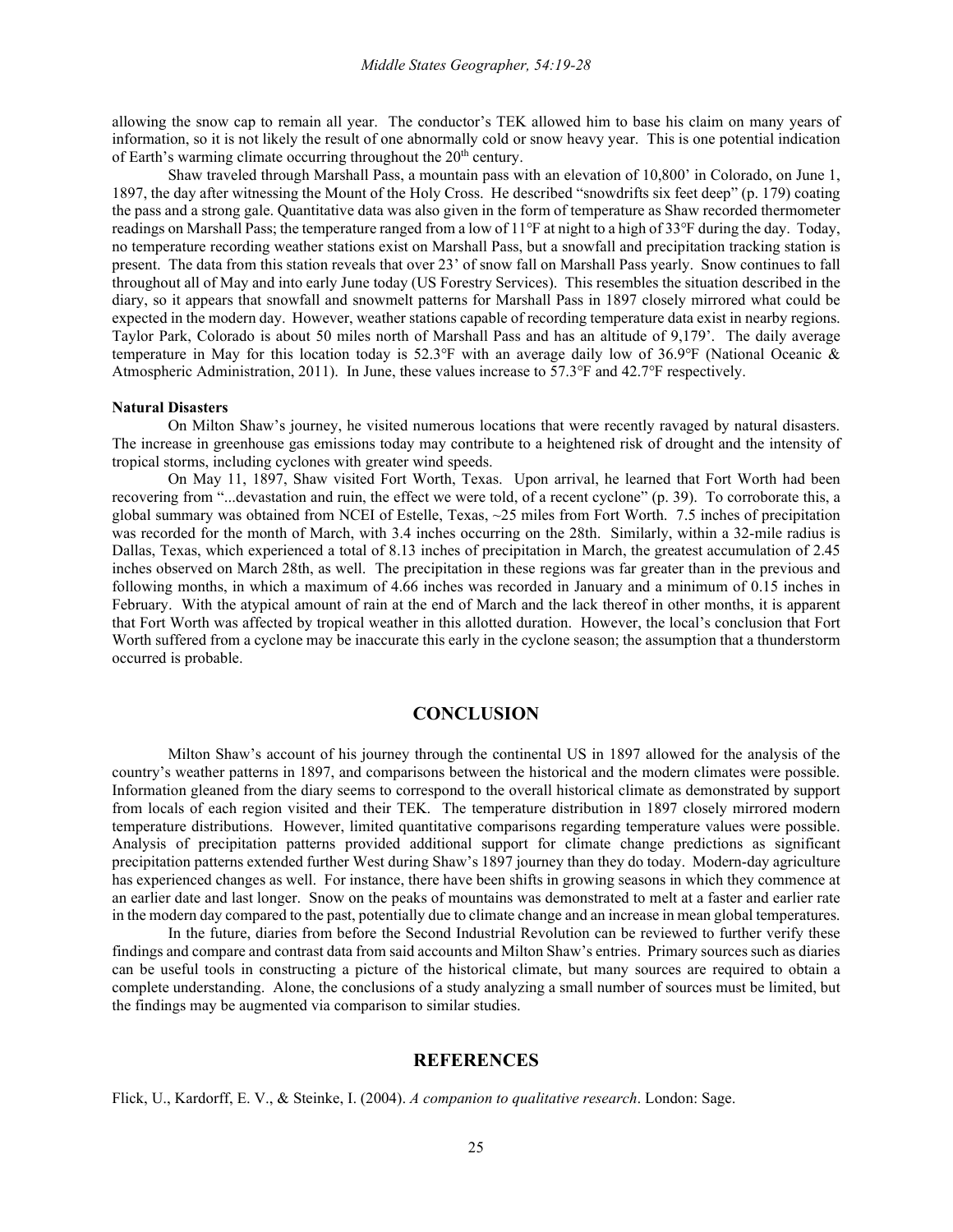allowing the snow cap to remain all year. The conductor's TEK allowed him to base his claim on many years of information, so it is not likely the result of one abnormally cold or snow heavy year. This is one potential indication of Earth's warming climate occurring throughout the 20<sup>th</sup> century.

Shaw traveled through Marshall Pass, a mountain pass with an elevation of 10,800' in Colorado, on June 1, 1897, the day after witnessing the Mount of the Holy Cross. He described "snowdrifts six feet deep" (p. 179) coating the pass and a strong gale. Quantitative data was also given in the form of temperature as Shaw recorded thermometer readings on Marshall Pass; the temperature ranged from a low of 11℉ at night to a high of 33℉ during the day. Today, no temperature recording weather stations exist on Marshall Pass, but a snowfall and precipitation tracking station is present. The data from this station reveals that over 23' of snow fall on Marshall Pass yearly. Snow continues to fall throughout all of May and into early June today (US Forestry Services). This resembles the situation described in the diary, so it appears that snowfall and snowmelt patterns for Marshall Pass in 1897 closely mirrored what could be expected in the modern day. However, weather stations capable of recording temperature data exist in nearby regions. Taylor Park, Colorado is about 50 miles north of Marshall Pass and has an altitude of 9,179'. The daily average temperature in May for this location today is 52.3°F with an average daily low of 36.9°F (National Oceanic & Atmospheric Administration, 2011). In June, these values increase to 57.3℉ and 42.7℉ respectively.

### **Natural Disasters**

On Milton Shaw's journey, he visited numerous locations that were recently ravaged by natural disasters. The increase in greenhouse gas emissions today may contribute to a heightened risk of drought and the intensity of tropical storms, including cyclones with greater wind speeds.

On May 11, 1897, Shaw visited Fort Worth, Texas. Upon arrival, he learned that Fort Worth had been recovering from "...devastation and ruin, the effect we were told, of a recent cyclone" (p. 39). To corroborate this, a global summary was obtained from NCEI of Estelle, Texas, ~25 miles from Fort Worth. 7.5 inches of precipitation was recorded for the month of March, with 3.4 inches occurring on the 28th. Similarly, within a 32-mile radius is Dallas, Texas, which experienced a total of 8.13 inches of precipitation in March, the greatest accumulation of 2.45 inches observed on March 28th, as well. The precipitation in these regions was far greater than in the previous and following months, in which a maximum of 4.66 inches was recorded in January and a minimum of 0.15 inches in February. With the atypical amount of rain at the end of March and the lack thereof in other months, it is apparent that Fort Worth was affected by tropical weather in this allotted duration. However, the local's conclusion that Fort Worth suffered from a cyclone may be inaccurate this early in the cyclone season; the assumption that a thunderstorm occurred is probable.

### **CONCLUSION**

Milton Shaw's account of his journey through the continental US in 1897 allowed for the analysis of the country's weather patterns in 1897, and comparisons between the historical and the modern climates were possible. Information gleaned from the diary seems to correspond to the overall historical climate as demonstrated by support from locals of each region visited and their TEK. The temperature distribution in 1897 closely mirrored modern temperature distributions. However, limited quantitative comparisons regarding temperature values were possible. Analysis of precipitation patterns provided additional support for climate change predictions as significant precipitation patterns extended further West during Shaw's 1897 journey than they do today. Modern-day agriculture has experienced changes as well. For instance, there have been shifts in growing seasons in which they commence at an earlier date and last longer. Snow on the peaks of mountains was demonstrated to melt at a faster and earlier rate in the modern day compared to the past, potentially due to climate change and an increase in mean global temperatures.

In the future, diaries from before the Second Industrial Revolution can be reviewed to further verify these findings and compare and contrast data from said accounts and Milton Shaw's entries. Primary sources such as diaries can be useful tools in constructing a picture of the historical climate, but many sources are required to obtain a complete understanding. Alone, the conclusions of a study analyzing a small number of sources must be limited, but the findings may be augmented via comparison to similar studies.

## **REFERENCES**

Flick, U., Kardorff, E. V., & Steinke, I. (2004). *A companion to qualitative research*. London: Sage.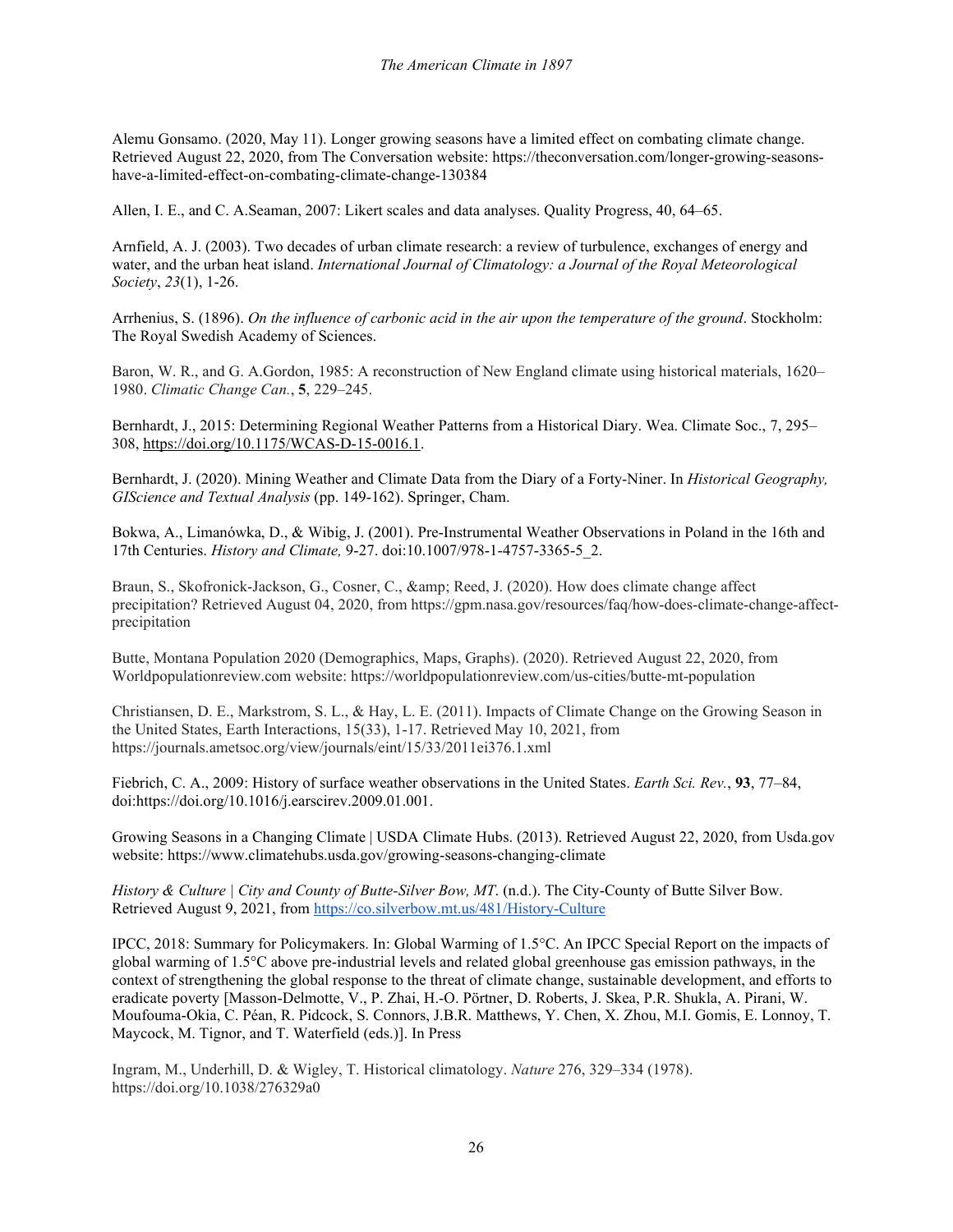Alemu Gonsamo. (2020, May 11). Longer growing seasons have a limited effect on combating climate change. Retrieved August 22, 2020, from The Conversation website: https://theconversation.com/longer-growing-seasonshave-a-limited-effect-on-combating-climate-change-130384

Allen, I. E., and C. A.Seaman, 2007: Likert scales and data analyses. Quality Progress, 40, 64–65.

Arnfield, A. J. (2003). Two decades of urban climate research: a review of turbulence, exchanges of energy and water, and the urban heat island. *International Journal of Climatology: a Journal of the Royal Meteorological Society*, *23*(1), 1-26.

Arrhenius, S. (1896). *On the influence of carbonic acid in the air upon the temperature of the ground*. Stockholm: The Royal Swedish Academy of Sciences.

Baron, W. R., and G. A.Gordon, 1985: A reconstruction of New England climate using historical materials, 1620– 1980. *Climatic Change Can.*, **5**, 229–245.

Bernhardt, J., 2015: Determining Regional Weather Patterns from a Historical Diary. Wea. Climate Soc., 7, 295– 308, [https://doi.org/10.1175/WCAS-D-15-0016.1.](https://doi.org/10.1175/WCAS-D-15-0016.1)

Bernhardt, J. (2020). Mining Weather and Climate Data from the Diary of a Forty-Niner. In *Historical Geography, GIScience and Textual Analysis* (pp. 149-162). Springer, Cham.

Bokwa, A., Limanówka, D., & Wibig, J. (2001). Pre-Instrumental Weather Observations in Poland in the 16th and 17th Centuries. *History and Climate,* 9-27. doi:10.1007/978-1-4757-3365-5\_2.

Braun, S., Skofronick-Jackson, G., Cosner, C., & amp; Reed, J. (2020). How does climate change affect precipitation? Retrieved August 04, 2020, from https://gpm.nasa.gov/resources/faq/how-does-climate-change-affectprecipitation

Butte, Montana Population 2020 (Demographics, Maps, Graphs). (2020). Retrieved August 22, 2020, from Worldpopulationreview.com website: https://worldpopulationreview.com/us-cities/butte-mt-population

Christiansen, D. E., Markstrom, S. L., & Hay, L. E. (2011). Impacts of Climate Change on the Growing Season in the United States, Earth Interactions, 15(33), 1-17. Retrieved May 10, 2021, from https://journals.ametsoc.org/view/journals/eint/15/33/2011ei376.1.xml

Fiebrich, C. A., 2009: History of surface weather observations in the United States. *Earth Sci. Rev.*, **93**, 77–84, doi[:https://doi.org/10.1016/j.earscirev.2009.01.001.](https://doi.org/10.1016/j.earscirev.2009.01.001)

Growing Seasons in a Changing Climate | USDA Climate Hubs. (2013). Retrieved August 22, 2020, from Usda.gov website: https://www.climatehubs.usda.gov/growing-seasons-changing-climate

*History & Culture | City and County of Butte-Silver Bow, MT*. (n.d.). The City-County of Butte Silver Bow. Retrieved August 9, 2021, fro[m https://co.silverbow.mt.us/481/History-Culture](https://co.silverbow.mt.us/481/History-Culture)

IPCC, 2018: Summary for Policymakers. In: Global Warming of 1.5°C. An IPCC Special Report on the impacts of global warming of 1.5°C above pre-industrial levels and related global greenhouse gas emission pathways, in the context of strengthening the global response to the threat of climate change, sustainable development, and efforts to eradicate poverty [Masson-Delmotte, V., P. Zhai, H.-O. Pörtner, D. Roberts, J. Skea, P.R. Shukla, A. Pirani, W. Moufouma-Okia, C. Péan, R. Pidcock, S. Connors, J.B.R. Matthews, Y. Chen, X. Zhou, M.I. Gomis, E. Lonnoy, T. Maycock, M. Tignor, and T. Waterfield (eds.)]. In Press

Ingram, M., Underhill, D. & Wigley, T. Historical climatology. *Nature* 276, 329–334 (1978). https://doi.org/10.1038/276329a0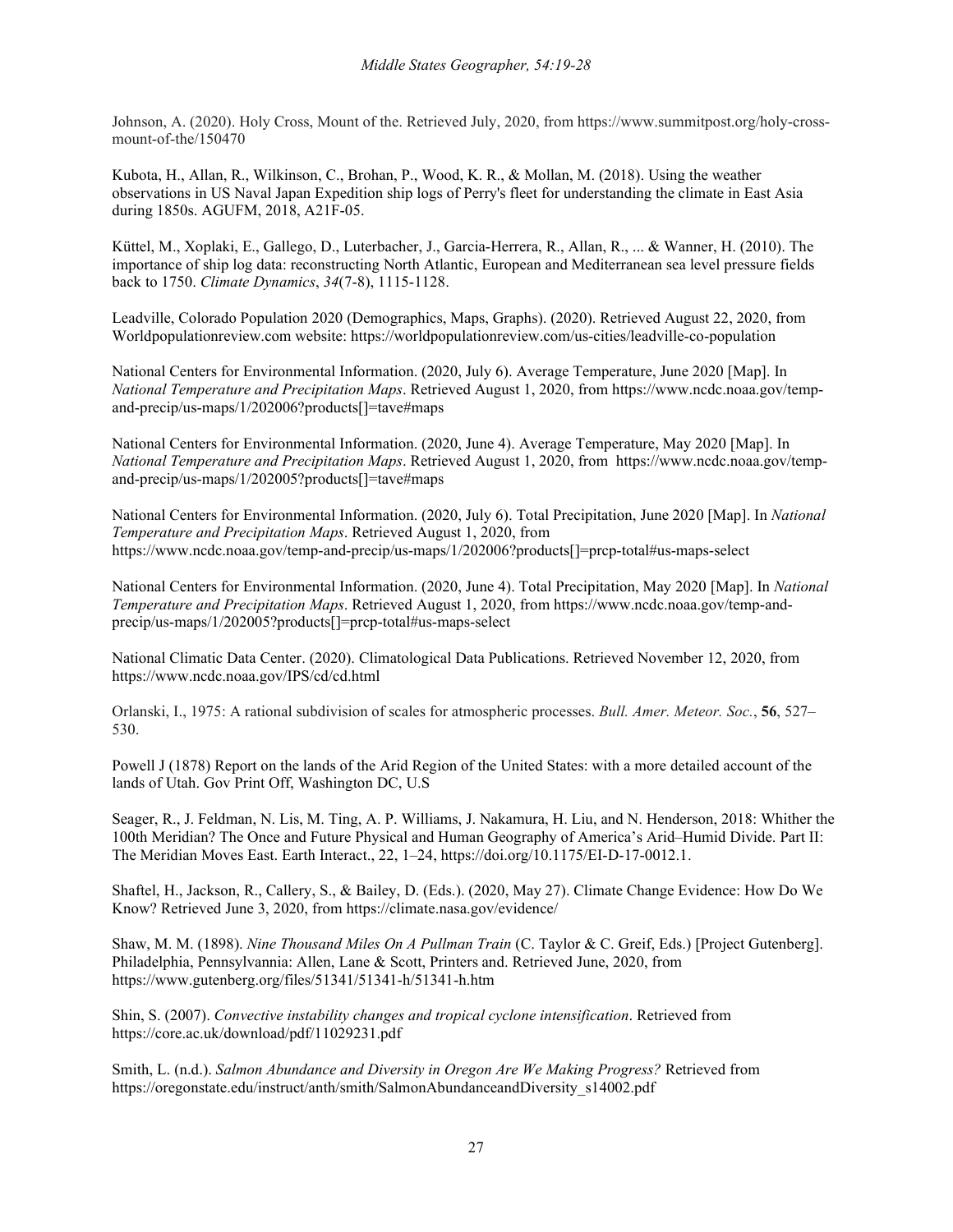Johnson, A. (2020). Holy Cross, Mount of the. Retrieved July, 2020, from https://www.summitpost.org/holy-crossmount-of-the/150470

Kubota, H., Allan, R., Wilkinson, C., Brohan, P., Wood, K. R., & Mollan, M. (2018). Using the weather observations in US Naval Japan Expedition ship logs of Perry's fleet for understanding the climate in East Asia during 1850s. AGUFM, 2018, A21F-05.

Küttel, M., Xoplaki, E., Gallego, D., Luterbacher, J., Garcia-Herrera, R., Allan, R., ... & Wanner, H. (2010). The importance of ship log data: reconstructing North Atlantic, European and Mediterranean sea level pressure fields back to 1750. *Climate Dynamics*, *34*(7-8), 1115-1128.

Leadville, Colorado Population 2020 (Demographics, Maps, Graphs). (2020). Retrieved August 22, 2020, from Worldpopulationreview.com website: https://worldpopulationreview.com/us-cities/leadville-co-population

National Centers for Environmental Information. (2020, July 6). Average Temperature, June 2020 [Map]. In *National Temperature and Precipitation Maps*. Retrieved August 1, 2020, from https://www.ncdc.noaa.gov/tempand-precip/us-maps/1/202006?products[]=tave#maps

National Centers for Environmental Information. (2020, June 4). Average Temperature, May 2020 [Map]. In *National Temperature and Precipitation Maps*. Retrieved August 1, 2020, from https://www.ncdc.noaa.gov/tempand-precip/us-maps/1/202005?products[]=tave#maps

National Centers for Environmental Information. (2020, July 6). Total Precipitation, June 2020 [Map]. In *National Temperature and Precipitation Maps*. Retrieved August 1, 2020, from https://www.ncdc.noaa.gov/temp-and-precip/us-maps/1/202006?products[]=prcp-total#us-maps-select

National Centers for Environmental Information. (2020, June 4). Total Precipitation, May 2020 [Map]. In *National Temperature and Precipitation Maps*. Retrieved August 1, 2020, from https://www.ncdc.noaa.gov/temp-andprecip/us-maps/1/202005?products[]=prcp-total#us-maps-select

National Climatic Data Center. (2020). Climatological Data Publications. Retrieved November 12, 2020, from https://www.ncdc.noaa.gov/IPS/cd/cd.html

Orlanski, I., 1975: A rational subdivision of scales for atmospheric processes. *Bull. Amer. Meteor. Soc.*, **56**, 527– 530.

Powell J (1878) Report on the lands of the Arid Region of the United States: with a more detailed account of the lands of Utah. Gov Print Off, Washington DC, U.S

Seager, R., J. Feldman, N. Lis, M. Ting, A. P. Williams, J. Nakamura, H. Liu, and N. Henderson, 2018: Whither the 100th Meridian? The Once and Future Physical and Human Geography of America's Arid–Humid Divide. Part II: The Meridian Moves East. Earth Interact., 22, 1–24, https://doi.org/10.1175/EI-D-17-0012.1.

Shaftel, H., Jackson, R., Callery, S., & Bailey, D. (Eds.). (2020, May 27). Climate Change Evidence: How Do We Know? Retrieved June 3, 2020, from https://climate.nasa.gov/evidence/

Shaw, M. M. (1898). *Nine Thousand Miles On A Pullman Train* (C. Taylor & C. Greif, Eds.) [Project Gutenberg]. Philadelphia, Pennsylvannia: Allen, Lane & Scott, Printers and. Retrieved June, 2020, from https://www.gutenberg.org/files/51341/51341-h/51341-h.htm

Shin, S. (2007). *Convective instability changes and tropical cyclone intensification*. Retrieved from https://core.ac.uk/download/pdf/11029231.pdf

Smith, L. (n.d.). *Salmon Abundance and Diversity in Oregon Are We Making Progress?* Retrieved from https://oregonstate.edu/instruct/anth/smith/SalmonAbundanceandDiversity\_s14002.pdf